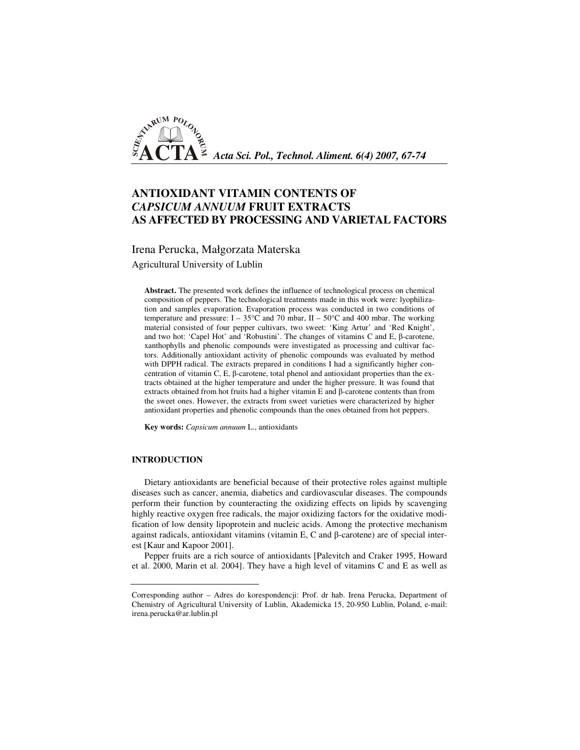

# **ANTIOXIDANT VITAMIN CONTENTS OF**  *CAPSICUM ANNUUM* **FRUIT EXTRACTS AS AFFECTED BY PROCESSING AND VARIETAL FACTORS**

Irena Perucka, Małgorzata Materska

Agricultural University of Lublin

**Abstract.** The presented work defines the influence of technological process on chemical composition of peppers. The technological treatments made in this work were: lyophilization and samples evaporation. Evaporation process was conducted in two conditions of temperature and pressure:  $I - 35^{\circ}C$  and 70 mbar,  $II - 50^{\circ}C$  and 400 mbar. The working material consisted of four pepper cultivars, two sweet: 'King Artur' and 'Red Knight', and two hot: 'Capel Hot' and 'Robustini'. The changes of vitamins C and E, β-carotene, xanthophylls and phenolic compounds were investigated as processing and cultivar factors. Additionally antioxidant activity of phenolic compounds was evaluated by method with DPPH radical. The extracts prepared in conditions I had a significantly higher concentration of vitamin C, E, β-carotene, total phenol and antioxidant properties than the extracts obtained at the higher temperature and under the higher pressure. It was found that extracts obtained from hot fruits had a higher vitamin E and β-carotene contents than from the sweet ones. However, the extracts from sweet varieties were characterized by higher antioxidant properties and phenolic compounds than the ones obtained from hot peppers.

**Key words:** *Capsicum annuum* L., antioxidants

## **INTRODUCTION**

Dietary antioxidants are beneficial because of their protective roles against multiple diseases such as cancer, anemia, diabetics and cardiovascular diseases. The compounds perform their function by counteracting the oxidizing effects on lipids by scavenging highly reactive oxygen free radicals, the major oxidizing factors for the oxidative modification of low density lipoprotein and nucleic acids. Among the protective mechanism against radicals, antioxidant vitamins (vitamin E, C and β-carotene) are of special interest [Kaur and Kapoor 2001].

Pepper fruits are a rich source of antioxidants [Palevitch and Craker 1995, Howard et al. 2000, Marin et al. 2004]. They have a high level of vitamins C and E as well as

Corresponding author – Adres do korespondencji: Prof. dr hab. Irena Perucka, Department of Chemistry of Agricultural University of Lublin, Akademicka 15, 20-950 Lublin, Poland, e-mail: irena.perucka@ar.lublin.pl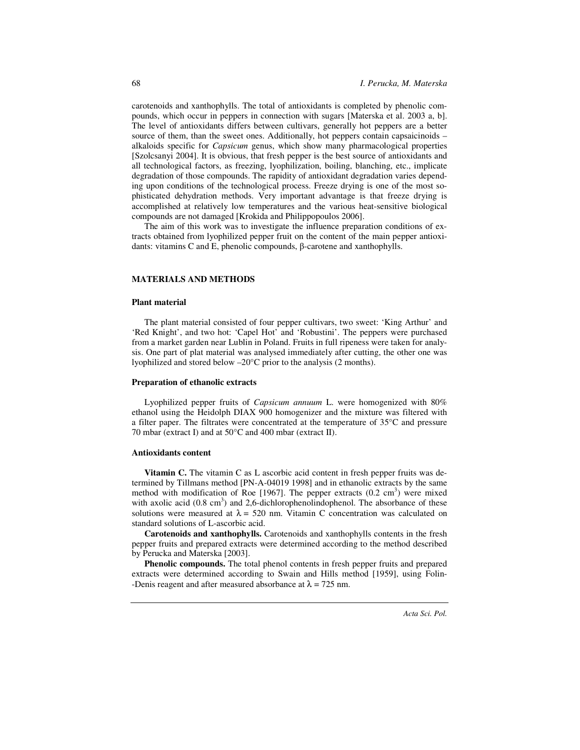carotenoids and xanthophylls. The total of antioxidants is completed by phenolic compounds, which occur in peppers in connection with sugars [Materska et al. 2003 a, b]. The level of antioxidants differs between cultivars, generally hot peppers are a better source of them, than the sweet ones. Additionally, hot peppers contain capsaicinoids – alkaloids specific for *Capsicum* genus, which show many pharmacological properties [Szolcsanyi 2004]. It is obvious, that fresh pepper is the best source of antioxidants and all technological factors, as freezing, lyophilization, boiling, blanching, etc., implicate degradation of those compounds. The rapidity of antioxidant degradation varies depending upon conditions of the technological process. Freeze drying is one of the most sophisticated dehydration methods. Very important advantage is that freeze drying is accomplished at relatively low temperatures and the various heat-sensitive biological compounds are not damaged [Krokida and Philippopoulos 2006].

The aim of this work was to investigate the influence preparation conditions of extracts obtained from lyophilized pepper fruit on the content of the main pepper antioxidants: vitamins C and E, phenolic compounds, β-carotene and xanthophylls.

#### **MATERIALS AND METHODS**

### **Plant material**

The plant material consisted of four pepper cultivars, two sweet: 'King Arthur' and 'Red Knight', and two hot: 'Capel Hot' and 'Robustini'. The peppers were purchased from a market garden near Lublin in Poland. Fruits in full ripeness were taken for analysis. One part of plat material was analysed immediately after cutting, the other one was lyophilized and stored below –20°C prior to the analysis (2 months).

#### **Preparation of ethanolic extracts**

Lyophilized pepper fruits of *Capsicum annuum* L. were homogenized with 80% ethanol using the Heidolph DIAX 900 homogenizer and the mixture was filtered with a filter paper. The filtrates were concentrated at the temperature of 35°C and pressure 70 mbar (extract I) and at 50°C and 400 mbar (extract II).

#### **Antioxidants content**

**Vitamin C.** The vitamin C as L ascorbic acid content in fresh pepper fruits was determined by Tillmans method [PN-A-04019 1998] and in ethanolic extracts by the same method with modification of Roe [1967]. The pepper extracts  $(0.2 \text{ cm}^3)$  were mixed with axolic acid  $(0.8 \text{ cm}^3)$  and 2,6-dichlorophenolindophenol. The absorbance of these solutions were measured at  $\lambda = 520$  nm. Vitamin C concentration was calculated on standard solutions of L-ascorbic acid.

**Carotenoids and xanthophylls.** Carotenoids and xanthophylls contents in the fresh pepper fruits and prepared extracts were determined according to the method described by Perucka and Materska [2003].

**Phenolic compounds.** The total phenol contents in fresh pepper fruits and prepared extracts were determined according to Swain and Hills method [1959], using Folin- -Denis reagent and after measured absorbance at  $\lambda = 725$  nm.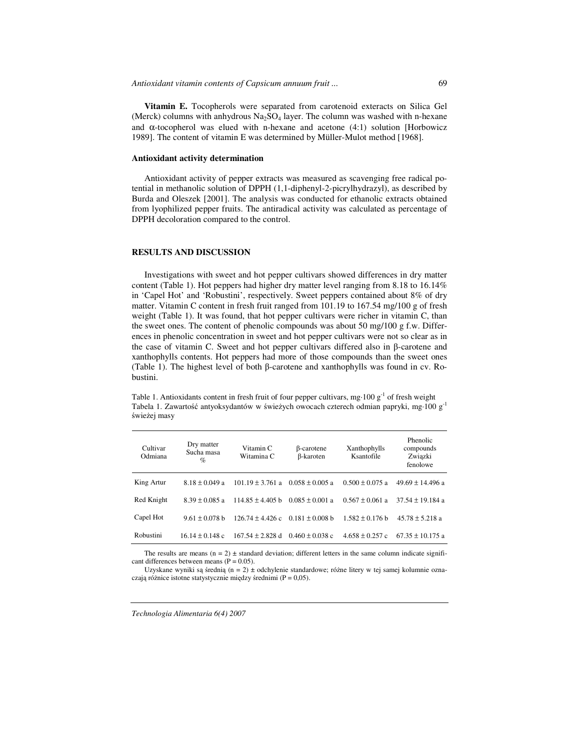**Vitamin E.** Tocopherols were separated from carotenoid exteracts on Silica Gel (Merck) columns with anhydrous  $Na<sub>2</sub>SO<sub>4</sub>$  layer. The column was washed with n-hexane and  $\alpha$ -tocopherol was elued with n-hexane and acetone (4:1) solution [Horbowicz 1989]. The content of vitamin E was determined by Müller-Mulot method [1968].

#### **Antioxidant activity determination**

Antioxidant activity of pepper extracts was measured as scavenging free radical potential in methanolic solution of DPPH (1,1-diphenyl-2-picrylhydrazyl), as described by Burda and Oleszek [2001]. The analysis was conducted for ethanolic extracts obtained from lyophilized pepper fruits. The antiradical activity was calculated as percentage of DPPH decoloration compared to the control.

## **RESULTS AND DISCUSSION**

Investigations with sweet and hot pepper cultivars showed differences in dry matter content (Table 1). Hot peppers had higher dry matter level ranging from 8.18 to 16.14% in 'Capel Hot' and 'Robustini', respectively. Sweet peppers contained about 8% of dry matter. Vitamin C content in fresh fruit ranged from 101.19 to 167.54 mg/100 g of fresh weight (Table 1). It was found, that hot pepper cultivars were richer in vitamin C, than the sweet ones. The content of phenolic compounds was about 50 mg/100 g f.w. Differences in phenolic concentration in sweet and hot pepper cultivars were not so clear as in the case of vitamin C. Sweet and hot pepper cultivars differed also in  $\beta$ -carotene and xanthophylls contents. Hot peppers had more of those compounds than the sweet ones (Table 1). The highest level of both β-carotene and xanthophylls was found in cv. Robustini.

Table 1. Antioxidants content in fresh fruit of four pepper cultivars, mg $\cdot 100$  g<sup>-1</sup> of fresh weight Tabela 1. Zawartość antyoksydantów w świeżych owocach czterech odmian papryki, mg·100 g-1 świeżej masy

| Cultivar<br>Odmiana | Dry matter<br>Sucha masa<br>$\%$ | Vitamin C<br>Witamina C | $\beta$ -carotene<br>β-karoten | Xanthophylls<br>Ksantofile | Phenolic<br>compounds<br>Związki<br>fenolowe |
|---------------------|----------------------------------|-------------------------|--------------------------------|----------------------------|----------------------------------------------|
| King Artur          | $8.18 \pm 0.049$ a               | $101.19 \pm 3.761$ a    | $0.058 \pm 0.005$ a            | $0.500 \pm 0.075$ a        | $49.69 \pm 14.496$ a                         |
| Red Knight          | $8.39 \pm 0.085$ a               | $114.85 \pm 4.405$ b    | $0.085 \pm 0.001$ a            | $0.567 \pm 0.061$ a        | $37.54 \pm 19.184$ a                         |
| Capel Hot           | $9.61 \pm 0.078$ b               | $126.74 \pm 4.426$ c    | $0.181 \pm 0.008$ b            | $1.582 \pm 0.176$ b        | $45.78 \pm 5.218$ a                          |
| Robustini           | $16.14 \pm 0.148$ c              | $167.54 \pm 2.828$ d    | $0.460 \pm 0.038$ c            | $4.658 \pm 0.257$ c        | $67.35 \pm 10.175$ a                         |

The results are means  $(n = 2) \pm$  standard deviation; different letters in the same column indicate significant differences between means  $(P = 0.05)$ .

Uzyskane wyniki są średnią (n = 2)  $\pm$  odchylenie standardowe; różne litery w tej samej kolumnie oznaczają różnice istotne statystycznie między średnimi (P = 0,05).

*Technologia Alimentaria 6(4) 2007*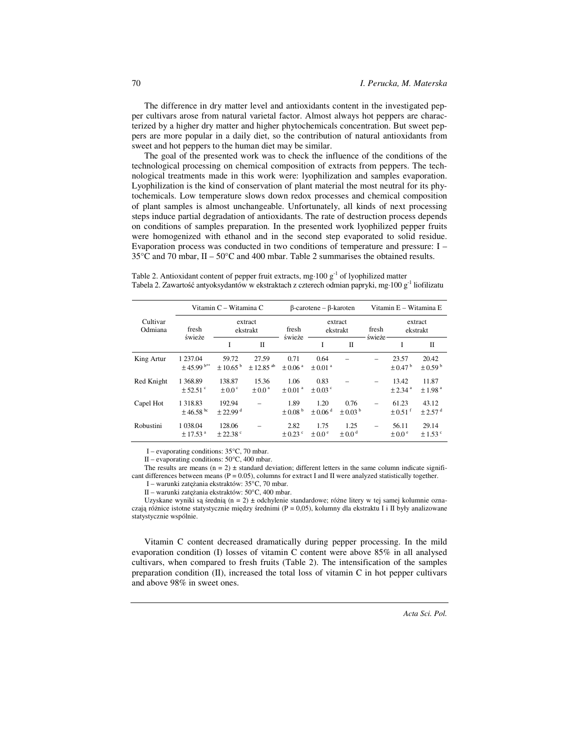The difference in dry matter level and antioxidants content in the investigated pepper cultivars arose from natural varietal factor. Almost always hot peppers are characterized by a higher dry matter and higher phytochemicals concentration. But sweet peppers are more popular in a daily diet, so the contribution of natural antioxidants from sweet and hot peppers to the human diet may be similar.

The goal of the presented work was to check the influence of the conditions of the technological processing on chemical composition of extracts from peppers. The technological treatments made in this work were: lyophilization and samples evaporation. Lyophilization is the kind of conservation of plant material the most neutral for its phytochemicals. Low temperature slows down redox processes and chemical composition of plant samples is almost unchangeable. Unfortunately, all kinds of next processing steps induce partial degradation of antioxidants. The rate of destruction process depends on conditions of samples preparation. In the presented work lyophilized pepper fruits were homogenized with ethanol and in the second step evaporated to solid residue. Evaporation process was conducted in two conditions of temperature and pressure:  $I 35^{\circ}$ C and 70 mbar, II –  $50^{\circ}$ C and 400 mbar. Table 2 summarises the obtained results.

Table 2. Antioxidant content of pepper fruit extracts, mg 100  $g<sup>-1</sup>$  of lyophilized matter Tabela 2. Zawartość antyoksydantów w ekstraktach z czterech odmian papryki, mg·100 g<sup>-1</sup> liofilizatu

|                     | Vitamin C - Witamina C                     |                                  |                                    | $\beta$ -carotene – $\beta$ -karoten |                                 |                                 | Vitamin E - Witamina E |                                  |                                  |
|---------------------|--------------------------------------------|----------------------------------|------------------------------------|--------------------------------------|---------------------------------|---------------------------------|------------------------|----------------------------------|----------------------------------|
| Cultivar<br>Odmiana | fresh<br>świeże                            | extract<br>ekstrakt              |                                    | fresh                                | extract<br>ekstrakt             |                                 | fresh                  | extract<br>ekstrakt              |                                  |
|                     |                                            | I                                | $\Pi$                              | świeże                               | I                               | $\Pi$                           | świeże                 | I                                | Π                                |
| King Artur          | 1 237.04<br>$\pm$ 45.99 b**                | 59.72<br>± 10.65 <sup>b</sup>    | 27.59<br>$\pm$ 12.85 <sup>ab</sup> | 0.71<br>$\pm 0.06$ <sup>a</sup>      | 0.64<br>$\pm 0.01$ <sup>a</sup> |                                 |                        | 23.57<br>$\pm 0.47^{\mathrm{b}}$ | 20.42<br>$\pm 0.59^{\mathrm{b}}$ |
| Red Knight          | 1 368.89<br>$\pm$ 52.51 °                  | 138.87<br>$\pm 0.0$ <sup>c</sup> | 15.36<br>$\pm 0.0$ <sup>a</sup>    | 1.06<br>$\pm$ 0.01 $\mathrm{^a}$     | 0.83<br>$\pm 0.03$ °            |                                 |                        | 13.42<br>$± 2.34$ <sup>a</sup>   | 11.87<br>$\pm$ 1.98 <sup>a</sup> |
| Capel Hot           | 1 3 1 8 . 8 3<br>$\pm$ 46.58 <sup>bc</sup> | 192.94<br>$+22.99$ <sup>d</sup>  |                                    | 1.89<br>$\pm 0.08^{\mathrm{b}}$      | 1.20<br>$\pm 0.06$ <sup>d</sup> | 0.76<br>$\pm 0.03^{\mathrm{b}}$ | $\equiv$               | 61.23<br>$\pm 0.51$ <sup>f</sup> | 43.12<br>$\pm 2.57$ <sup>d</sup> |
| Robustini           | 1 0 38.04<br>$\pm$ 17.53 <sup>a</sup>      | 128.06<br>$+22.38$ °             |                                    | 2.82<br>$\pm$ 0.23 $\degree$         | 1.75<br>$\pm 0.0^{\circ}$       | 1.25<br>$\pm 0.0$ <sup>d</sup>  | $\equiv$               | 56.11<br>$\pm 0.0^{\circ}$       | 29.14<br>$\pm$ 1.53 $\degree$    |

I - evaporating conditions: 35°C, 70 mbar.

II - evaporating conditions:  $50^{\circ}$ C, 400 mbar.

The results are means  $(n = 2) \pm$  standard deviation; different letters in the same column indicate significant differences between means ( $\dot{P} = 0.05$ ), columns for extract I and II were analyzed statistically together.

I - warunki zatężania ekstraktów: 35°C, 70 mbar.

II - warunki zateżania ekstraktów: 50°C, 400 mbar.

Uzyskane wyniki są średnią (n = 2) ± odchylenie standardowe; różne litery w tej samej kolumnie oznaczają różnice istotne statystycznie między średnimi (P = 0,05), kolumny dla ekstraktu I i II były analizowane statystycznie wspólnie.

Vitamin C content decreased dramatically during pepper processing. In the mild evaporation condition (I) losses of vitamin C content were above 85% in all analysed cultivars, when compared to fresh fruits (Table 2). The intensification of the samples preparation condition (II), increased the total loss of vitamin C in hot pepper cultivars and above 98% in sweet ones.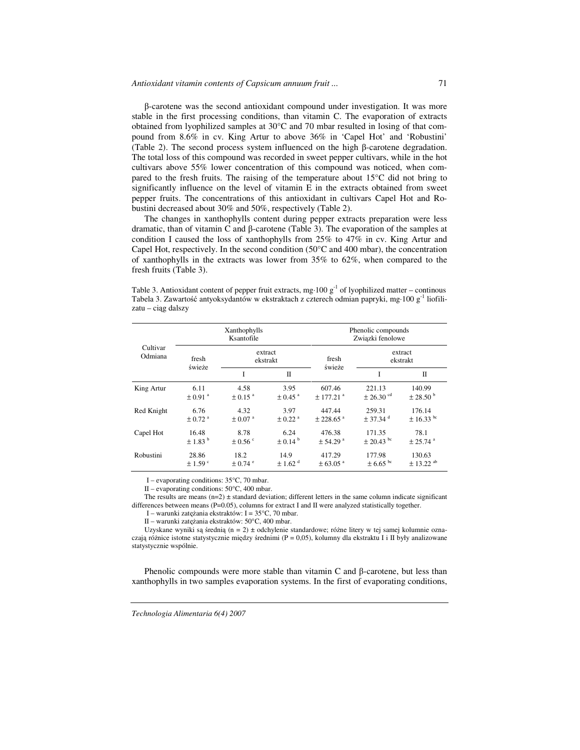$\beta$ -carotene was the second antioxidant compound under investigation. It was more stable in the first processing conditions, than vitamin C. The evaporation of extracts obtained from lyophilized samples at 30°C and 70 mbar resulted in losing of that compound from 8.6% in cv. King Artur to above 36% in 'Capel Hot' and 'Robustini' (Table 2). The second process system influenced on the high  $\beta$ -carotene degradation. The total loss of this compound was recorded in sweet pepper cultivars, while in the hot cultivars above 55% lower concentration of this compound was noticed, when compared to the fresh fruits. The raising of the temperature about 15°C did not bring to significantly influence on the level of vitamin  $\overline{E}$  in the extracts obtained from sweet pepper fruits. The concentrations of this antioxidant in cultivars Capel Hot and Robustini decreased about 30% and 50%, respectively (Table 2).

71

The changes in xanthophylls content during pepper extracts preparation were less dramatic, than of vitamin C and  $\beta$ -carotene (Table 3). The evaporation of the samples at condition I caused the loss of xanthophylls from 25% to 47% in cv. King Artur and Capel Hot, respectively. In the second condition  $(50^{\circ}$ C and 400 mbar), the concentration of xanthophylls in the extracts was lower from  $35\%$  to  $62\%$ , when compared to the fresh fruits (Table 3).

Table 3. Antioxidant content of pepper fruit extracts, mg 100  $g^{-1}$  of lyophilized matter – continous Tabela 3. Zawartość antyoksydantów w ekstraktach z czterech odmian papryki, mg $\cdot$ 100 g<sup>-1</sup> liofilizatu - ciąg dalszy

| Cultivar<br>Odmiana | Xanthophylls<br>Ksantofile |                         |                         | Phenolic compounds<br>Związki fenolowe |                           |                           |  |
|---------------------|----------------------------|-------------------------|-------------------------|----------------------------------------|---------------------------|---------------------------|--|
|                     | fresh                      | extract<br>ekstrakt     |                         | fresh                                  | extract<br>ekstrakt       |                           |  |
|                     | świeże                     | Ī                       | Π                       | świeże                                 | I                         | Π                         |  |
| King Artur          | 6.11                       | 4.58                    | 3.95                    | 607.46                                 | 221.13                    | 140.99                    |  |
|                     | $\pm 0.91$ <sup>a</sup>    | $\pm$ 0.15 <sup>a</sup> | $\pm$ 0.45 $^{\rm a}$   | $± 177.21$ <sup>a</sup>                | $\pm 26.30$ <sup>cd</sup> | $\pm 28.50^{\mathrm{b}}$  |  |
| Red Knight          | 6.76                       | 4.32                    | 3.97                    | 447.44                                 | 259.31                    | 176.14                    |  |
|                     | $\pm$ 0.72 $^{\rm a}$      | $\pm$ 0.07 $^{\rm a}$   | $\pm$ 0.22 $^{\rm a}$   | $± 228.65$ <sup>a</sup>                | $\pm$ 37.34 $^{\rm d}$    | $\pm$ 16.33 <sup>bc</sup> |  |
| Capel Hot           | 16.48                      | 8.78                    | 6.24                    | 476.38                                 | 171.35                    | 78.1                      |  |
|                     | $\pm$ 1.83 $^{\rm b}$      | $\pm$ 0.56 $\degree$    | $\pm 0.14^{\mathrm{b}}$ | $± 54.29$ <sup>a</sup>                 | $\pm 20.43$ <sup>bc</sup> | $± 25.74$ <sup>a</sup>    |  |
| Robustini           | 28.86                      | 18.2                    | 14.9                    | 417.29                                 | 177.98                    | 130.63                    |  |
|                     | $\pm$ 1.59 $\degree$       | $\pm$ 0.74 $^{\circ}$   | $\pm 1.62$ <sup>d</sup> | $\pm 63.05$ <sup>a</sup>               | $\pm 6.65$ <sup>bc</sup>  | $\pm$ 13.22 <sup>ab</sup> |  |

I – evaporating conditions:  $35^{\circ}$ C, 70 mbar.

II - evaporating conditions: 50°C, 400 mbar.

The results are means  $(n=2) \pm$  standard deviation; different letters in the same column indicate significant differences between means (P=0.05), columns for extract I and II were analyzed statistically together.

I – warunki zatężania ekstraktów: I = 35°C, 70 mbar.

II - warunki zatężania ekstraktów: 50°C, 400 mbar.

Uzyskane wyniki są średnią (n = 2) ± odchylenie standardowe; różne litery w tej samej kolumnie oznaczają różnice istotne statystycznie między średnimi ( $P = 0.05$ ), kolumny dla ekstraktu I i II były analizowane statystycznie wspólnie.

Phenolic compounds were more stable than vitamin  $C$  and  $\beta$ -carotene, but less than xanthophylls in two samples evaporation systems. In the first of evaporating conditions,

Technologia Alimentaria 6(4) 2007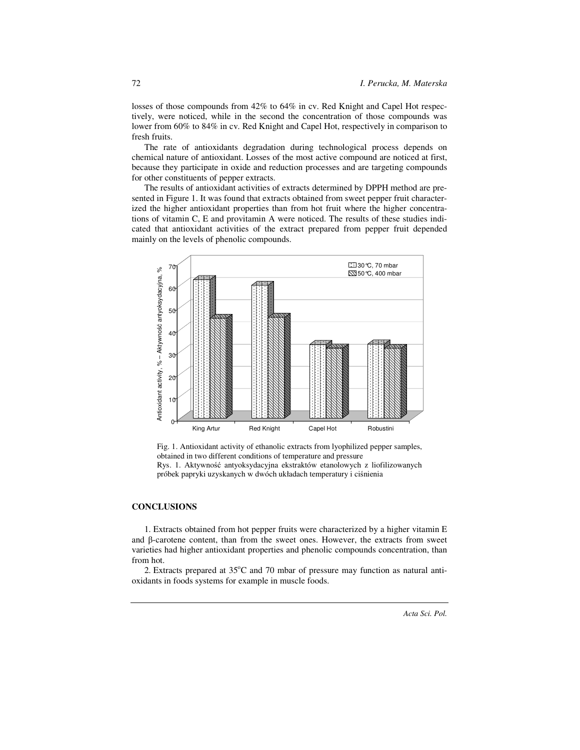losses of those compounds from 42% to 64% in cv. Red Knight and Capel Hot respectively, were noticed, while in the second the concentration of those compounds was lower from 60% to 84% in cv. Red Knight and Capel Hot, respectively in comparison to fresh fruits.

The rate of antioxidants degradation during technological process depends on chemical nature of antioxidant. Losses of the most active compound are noticed at first, because they participate in oxide and reduction processes and are targeting compounds for other constituents of pepper extracts.

The results of antioxidant activities of extracts determined by DPPH method are presented in Figure 1. It was found that extracts obtained from sweet pepper fruit characterized the higher antioxidant properties than from hot fruit where the higher concentrations of vitamin C, E and provitamin A were noticed. The results of these studies indicated that antioxidant activities of the extract prepared from pepper fruit depended mainly on the levels of phenolic compounds.



Fig. 1. Antioxidant activity of ethanolic extracts from lyophilized pepper samples, obtained in two different conditions of temperature and pressure Rys. 1. Aktywność antyoksydacyjna ekstraktów etanolowych z liofilizowanych próbek papryki uzyskanych w dwóch układach temperatury i ciśnienia

# **CONCLUSIONS**

1. Extracts obtained from hot pepper fruits were characterized by a higher vitamin E and β-carotene content, than from the sweet ones. However, the extracts from sweet varieties had higher antioxidant properties and phenolic compounds concentration, than from hot.

2. Extracts prepared at  $35^{\circ}$ C and 70 mbar of pressure may function as natural antioxidants in foods systems for example in muscle foods.

72